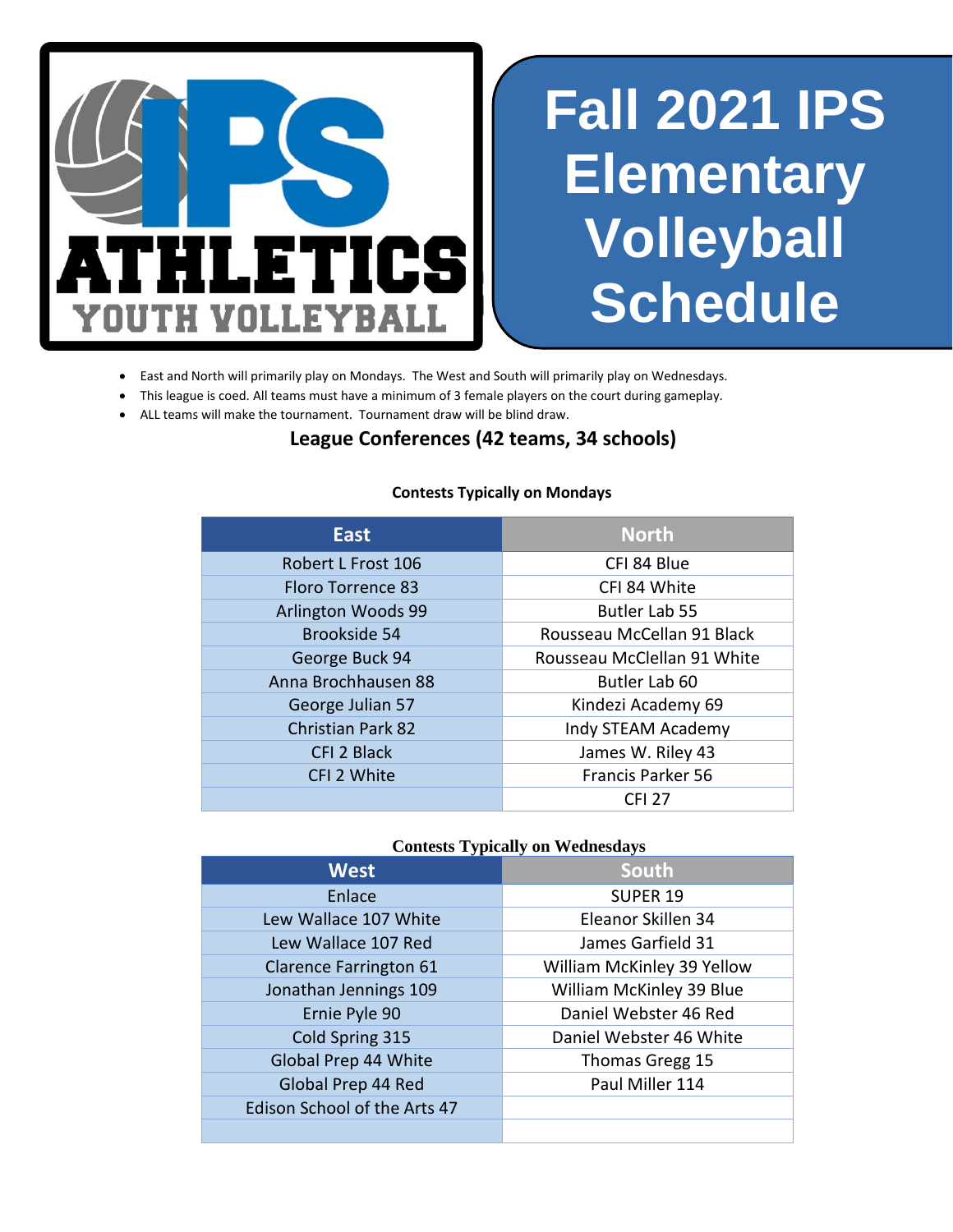

### **Fall 2021 IPS Elementary Volleyball Schedule**

- East and North will primarily play on Mondays. The West and South will primarily play on Wednesdays.
- This league is coed. All teams must have a minimum of 3 female players on the court during gameplay.
- ALL teams will make the tournament. Tournament draw will be blind draw.

### **League Conferences (42 teams, 34 schools)**

| <b>East</b>                                   | <b>North</b>               |  |
|-----------------------------------------------|----------------------------|--|
| Robert L Frost 106                            | CFI 84 Blue                |  |
| <b>Floro Torrence 83</b>                      | CFI 84 White               |  |
| Arlington Woods 99                            | Butler Lab 55              |  |
| Brookside 54                                  | Rousseau McCellan 91 Black |  |
| Rousseau McClellan 91 White<br>George Buck 94 |                            |  |
| Anna Brochhausen 88<br>Butler Lab 60          |                            |  |
| George Julian 57                              | Kindezi Academy 69         |  |
| <b>Christian Park 82</b>                      | Indy STEAM Academy         |  |
| <b>CFI 2 Black</b>                            | James W. Riley 43          |  |
| CFI 2 White                                   | Francis Parker 56          |  |
|                                               | <b>CFI 27</b>              |  |

#### **Contests Typically on Mondays**

#### **Contests Typically on Wednesdays**

| <b>West</b>                   | South                      |
|-------------------------------|----------------------------|
| Enlace                        | SUPER <sub>19</sub>        |
| Lew Wallace 107 White         | Eleanor Skillen 34         |
| Lew Wallace 107 Red           | James Garfield 31          |
| <b>Clarence Farrington 61</b> | William McKinley 39 Yellow |
| Jonathan Jennings 109         | William McKinley 39 Blue   |
| Ernie Pyle 90                 | Daniel Webster 46 Red      |
| Cold Spring 315               | Daniel Webster 46 White    |
| Global Prep 44 White          | Thomas Gregg 15            |
| Global Prep 44 Red            | Paul Miller 114            |
| Edison School of the Arts 47  |                            |
|                               |                            |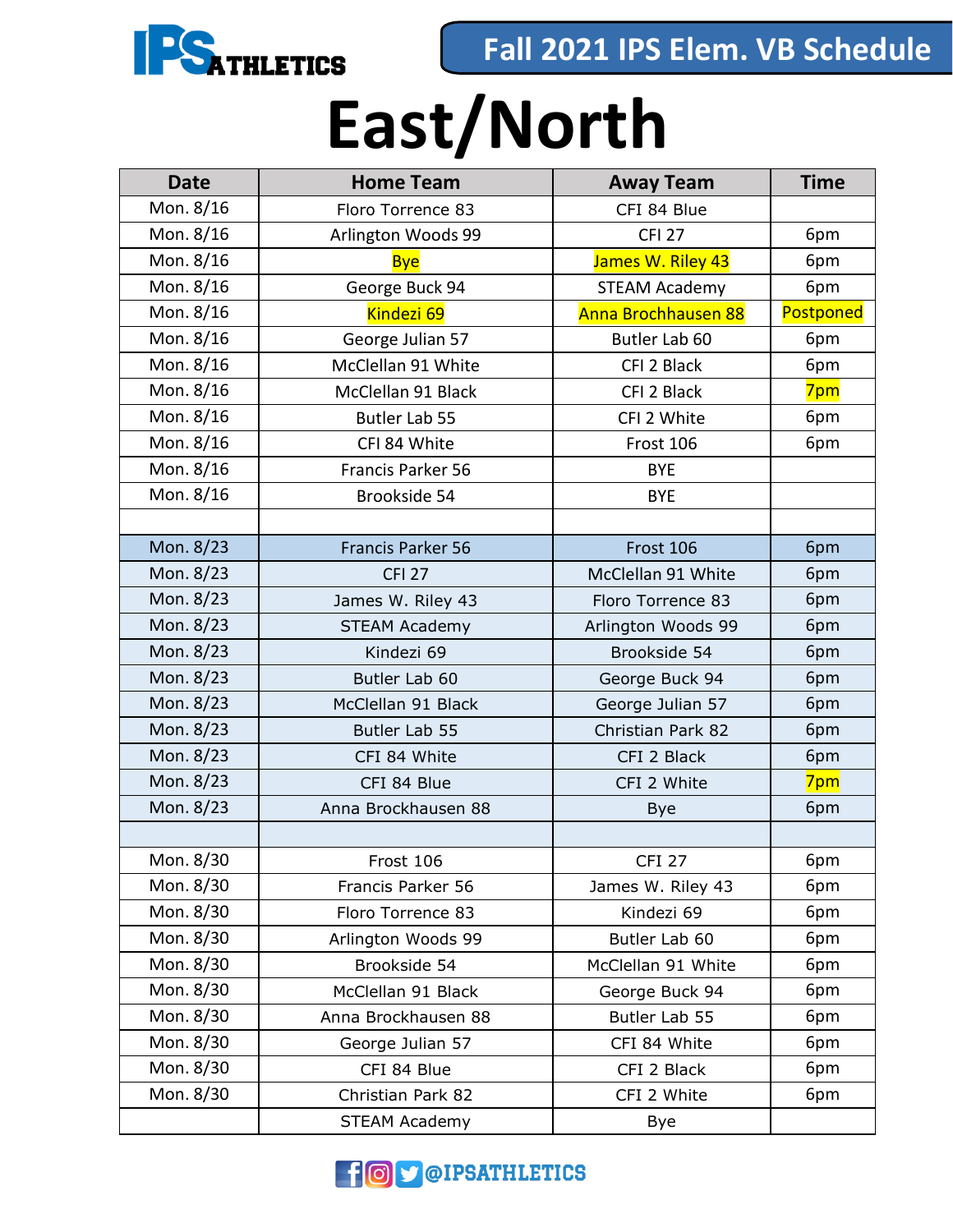

## **East/North**

| <b>Date</b> | <b>Home Team</b>         | <b>Away Team</b>     | <b>Time</b> |
|-------------|--------------------------|----------------------|-------------|
| Mon. 8/16   | Floro Torrence 83        | CFI 84 Blue          |             |
| Mon. 8/16   | Arlington Woods 99       | <b>CFI 27</b>        | 6pm         |
| Mon. 8/16   | <b>Bye</b>               | James W. Riley 43    | 6pm         |
| Mon. 8/16   | George Buck 94           | <b>STEAM Academy</b> | 6pm         |
| Mon. 8/16   | Kindezi 69               | Anna Brochhausen 88  | Postponed   |
| Mon. 8/16   | George Julian 57         | Butler Lab 60        | 6pm         |
| Mon. 8/16   | McClellan 91 White       | CFI 2 Black          | 6pm         |
| Mon. 8/16   | McClellan 91 Black       | CFI 2 Black          | 7pm         |
| Mon. 8/16   | Butler Lab 55            | CFI 2 White          | 6pm         |
| Mon. 8/16   | CFI 84 White             | Frost 106            | 6pm         |
| Mon. 8/16   | Francis Parker 56        | <b>BYE</b>           |             |
| Mon. 8/16   | Brookside 54             | <b>BYE</b>           |             |
|             |                          |                      |             |
| Mon. 8/23   | <b>Francis Parker 56</b> | Frost 106            | 6pm         |
| Mon. 8/23   | <b>CFI 27</b>            | McClellan 91 White   | 6pm         |
| Mon. 8/23   | James W. Riley 43        | Floro Torrence 83    | 6pm         |
| Mon. 8/23   | <b>STEAM Academy</b>     | Arlington Woods 99   | 6pm         |
| Mon. 8/23   | Kindezi 69               | Brookside 54         | 6pm         |
| Mon. 8/23   | Butler Lab 60            | George Buck 94       | 6pm         |
| Mon. 8/23   | McClellan 91 Black       | George Julian 57     | 6pm         |
| Mon. 8/23   | Butler Lab 55            | Christian Park 82    | 6pm         |
| Mon. 8/23   | CFI 84 White             | CFI 2 Black          | 6pm         |
| Mon. 8/23   | CFI 84 Blue              | CFI 2 White          | 7pm         |
| Mon. 8/23   | Anna Brockhausen 88      | Bye                  | 6pm         |
|             |                          |                      |             |
| Mon. 8/30   | Frost 106                | <b>CFI 27</b>        | 6pm         |
| Mon. 8/30   | Francis Parker 56        | James W. Riley 43    | 6pm         |
| Mon. 8/30   | Floro Torrence 83        | Kindezi 69           | 6pm         |
| Mon. 8/30   | Arlington Woods 99       | Butler Lab 60        | 6pm         |
| Mon. 8/30   | Brookside 54             | McClellan 91 White   | 6pm         |
| Mon. 8/30   | McClellan 91 Black       | George Buck 94       | 6pm         |
| Mon. 8/30   | Anna Brockhausen 88      | Butler Lab 55        | 6pm         |
| Mon. 8/30   | George Julian 57         | CFI 84 White         | 6pm         |
| Mon. 8/30   | CFI 84 Blue              | CFI 2 Black          | 6pm         |
| Mon. 8/30   | Christian Park 82        | CFI 2 White          | 6pm         |
|             | <b>STEAM Academy</b>     | Bye                  |             |

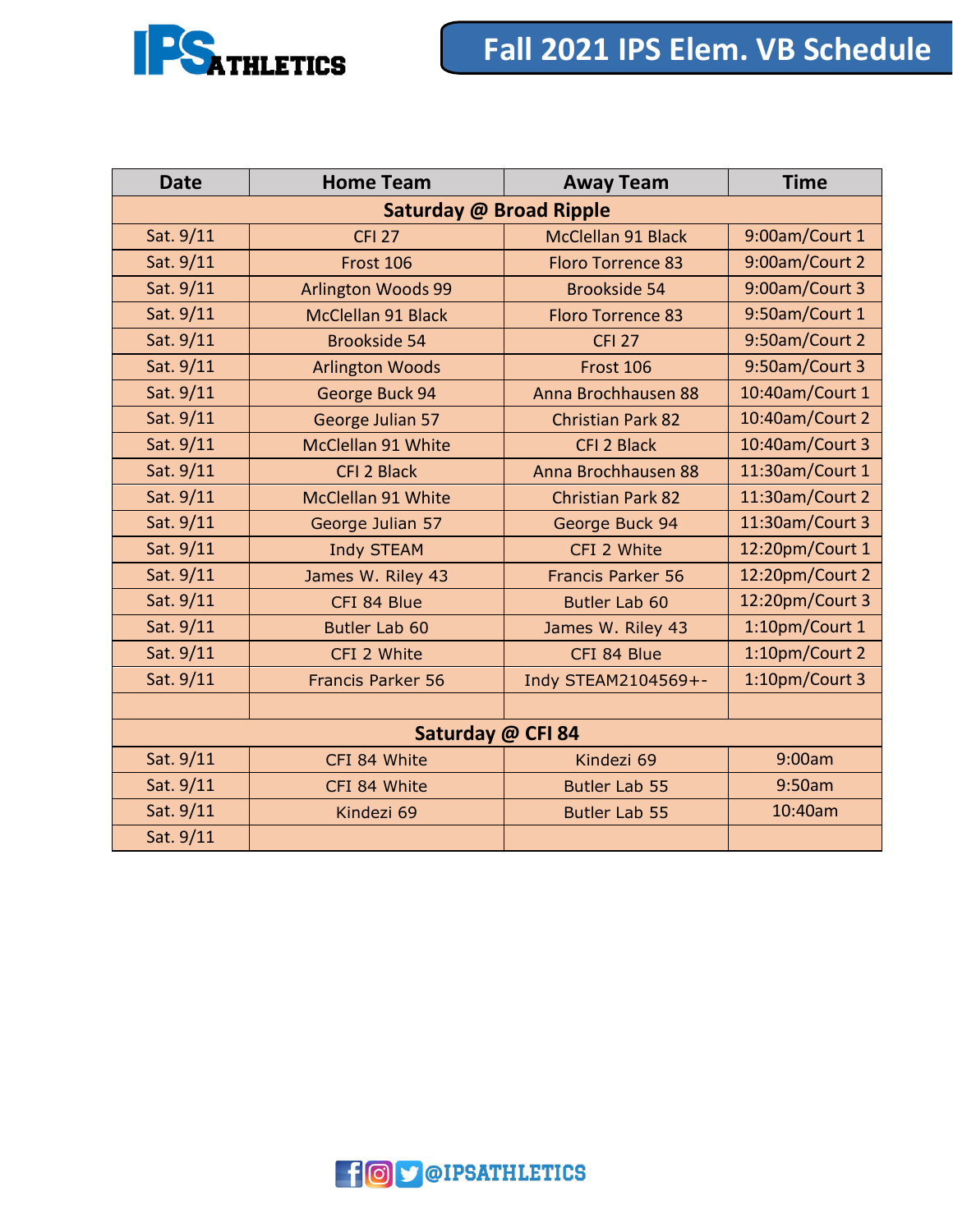

| <b>Date</b>                    | <b>Home Team</b>          | <b>Away Team</b>         | <b>Time</b>     |
|--------------------------------|---------------------------|--------------------------|-----------------|
| <b>Saturday @ Broad Ripple</b> |                           |                          |                 |
| Sat. 9/11                      | <b>CFI 27</b>             | McClellan 91 Black       | 9:00am/Court 1  |
| Sat. 9/11                      | Frost 106                 | <b>Floro Torrence 83</b> | 9:00am/Court 2  |
| Sat. 9/11                      | <b>Arlington Woods 99</b> | <b>Brookside 54</b>      | 9:00am/Court 3  |
| Sat. 9/11                      | <b>McClellan 91 Black</b> | <b>Floro Torrence 83</b> | 9:50am/Court 1  |
| Sat. 9/11                      | <b>Brookside 54</b>       | <b>CFI 27</b>            | 9:50am/Court 2  |
| Sat. 9/11                      | <b>Arlington Woods</b>    | <b>Frost 106</b>         | 9:50am/Court 3  |
| Sat. 9/11                      | George Buck 94            | Anna Brochhausen 88      | 10:40am/Court 1 |
| Sat. 9/11                      | George Julian 57          | <b>Christian Park 82</b> | 10:40am/Court 2 |
| Sat. 9/11                      | McClellan 91 White        | <b>CFI 2 Black</b>       | 10:40am/Court 3 |
| Sat. 9/11                      | <b>CFI 2 Black</b>        | Anna Brochhausen 88      | 11:30am/Court 1 |
| Sat. 9/11                      | <b>McClellan 91 White</b> | <b>Christian Park 82</b> | 11:30am/Court 2 |
| Sat. 9/11                      | George Julian 57          | George Buck 94           | 11:30am/Court 3 |
| Sat. 9/11                      | <b>Indy STEAM</b>         | CFI 2 White              | 12:20pm/Court 1 |
| Sat. 9/11                      | James W. Riley 43         | <b>Francis Parker 56</b> | 12:20pm/Court 2 |
| Sat. 9/11                      | CFI 84 Blue               | Butler Lab 60            | 12:20pm/Court 3 |
| Sat. 9/11                      | Butler Lab 60             | James W. Riley 43        | 1:10pm/Court 1  |
| Sat. 9/11                      | CFI 2 White               | CFI 84 Blue              | 1:10pm/Court 2  |
| Sat. 9/11                      | <b>Francis Parker 56</b>  | Indy STEAM2104569+-      | 1:10pm/Court 3  |
|                                |                           |                          |                 |
| Saturday @ CFI 84              |                           |                          |                 |
| Sat. 9/11                      | CFI 84 White              | Kindezi 69               | 9:00am          |
| Sat. 9/11                      | CFI 84 White              | Butler Lab 55            | 9:50am          |
| Sat. 9/11                      | Kindezi 69                | Butler Lab 55            | 10:40am         |
| Sat. 9/11                      |                           |                          |                 |

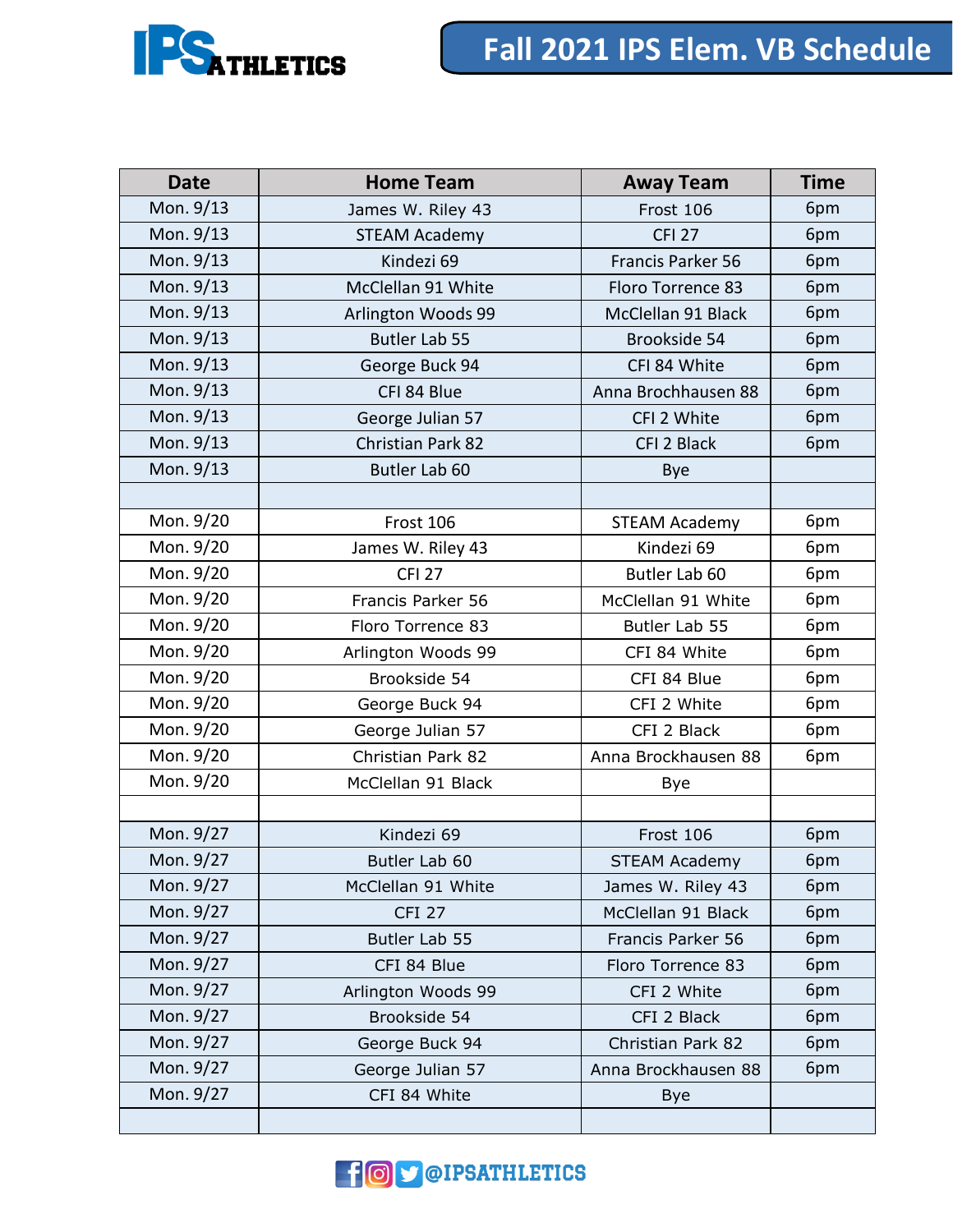

| <b>Date</b> | <b>Home Team</b>         | <b>Away Team</b>          | <b>Time</b> |
|-------------|--------------------------|---------------------------|-------------|
| Mon. 9/13   | James W. Riley 43        | Frost 106                 | 6pm         |
| Mon. 9/13   | <b>STEAM Academy</b>     | <b>CFI 27</b>             | 6pm         |
| Mon. 9/13   | Kindezi 69               | Francis Parker 56         | 6pm         |
| Mon. 9/13   | McClellan 91 White       | Floro Torrence 83         | 6pm         |
| Mon. 9/13   | Arlington Woods 99       | McClellan 91 Black        | 6pm         |
| Mon. 9/13   | <b>Butler Lab 55</b>     | Brookside 54              | 6pm         |
| Mon. 9/13   | George Buck 94           | CFI 84 White              | 6pm         |
| Mon. 9/13   | CFI 84 Blue              | Anna Brochhausen 88       | 6pm         |
| Mon. 9/13   | George Julian 57         | CFI 2 White               | 6pm         |
| Mon. 9/13   | <b>Christian Park 82</b> | CFI 2 Black               | 6pm         |
| Mon. 9/13   | Butler Lab 60            | Bye                       |             |
|             |                          |                           |             |
| Mon. 9/20   | Frost 106                | <b>STEAM Academy</b>      | 6pm         |
| Mon. 9/20   | James W. Riley 43        | Kindezi 69                | 6pm         |
| Mon. 9/20   | <b>CFI 27</b>            | Butler Lab 60             | 6pm         |
| Mon. 9/20   | Francis Parker 56        | McClellan 91 White        | 6pm         |
| Mon. 9/20   | Floro Torrence 83        | Butler Lab 55             | 6pm         |
| Mon. 9/20   | Arlington Woods 99       | CFI 84 White              | 6pm         |
| Mon. 9/20   | Brookside 54             | CFI 84 Blue               | 6pm         |
| Mon. 9/20   | George Buck 94           | CFI 2 White               | 6pm         |
| Mon. 9/20   | George Julian 57         | CFI 2 Black               | 6pm         |
| Mon. 9/20   | Christian Park 82        | Anna Brockhausen 88       | 6pm         |
| Mon. 9/20   | McClellan 91 Black       | Bye                       |             |
|             |                          |                           |             |
| Mon. 9/27   | Kindezi 69               | Frost 106                 | 6pm         |
| Mon. 9/27   | Butler Lab 60            | <b>STEAM Academy</b>      | 6pm         |
| Mon. 9/27   | McClellan 91 White       | James W. Riley 43         | 6pm         |
| Mon. 9/27   | <b>CFI 27</b>            | McClellan 91 Black<br>6pm |             |
| Mon. 9/27   | Butler Lab 55            | Francis Parker 56         | 6pm         |
| Mon. 9/27   | CFI 84 Blue              | Floro Torrence 83         | 6pm         |
| Mon. 9/27   | Arlington Woods 99       | CFI 2 White               | 6pm         |
| Mon. 9/27   | Brookside 54             | CFI 2 Black               | 6pm         |
| Mon. 9/27   | George Buck 94           | Christian Park 82         | 6pm         |
| Mon. 9/27   | George Julian 57         | Anna Brockhausen 88       | 6pm         |
| Mon. 9/27   | CFI 84 White             | Bye                       |             |
|             |                          |                           |             |

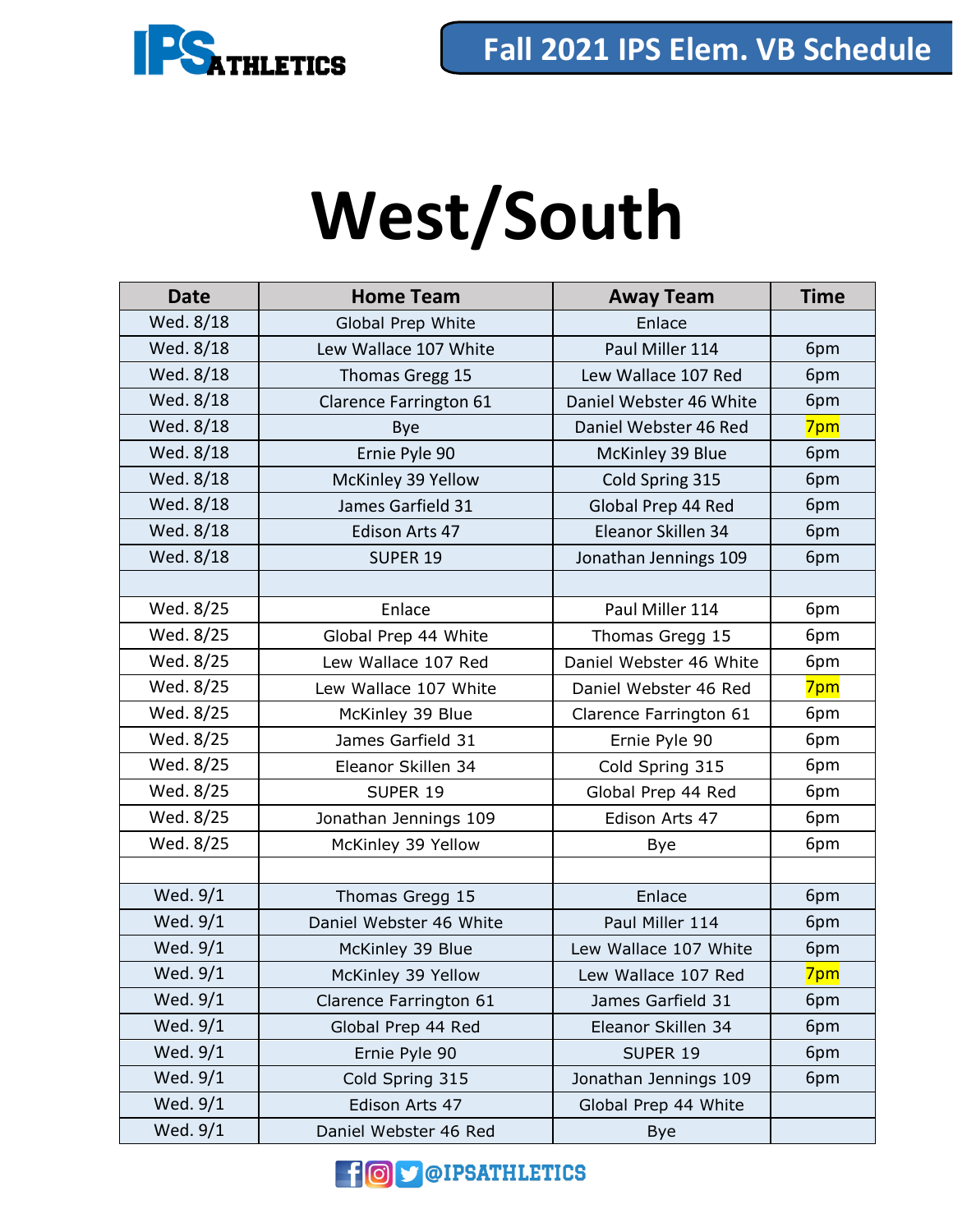

# **West/South**

| <b>Date</b> | <b>Home Team</b>        | <b>Away Team</b>              | <b>Time</b> |
|-------------|-------------------------|-------------------------------|-------------|
| Wed. 8/18   | Global Prep White       | Enlace                        |             |
| Wed. 8/18   | Lew Wallace 107 White   | Paul Miller 114               | 6pm         |
| Wed. 8/18   | Thomas Gregg 15         | Lew Wallace 107 Red           | 6pm         |
| Wed. 8/18   | Clarence Farrington 61  | Daniel Webster 46 White       | 6pm         |
| Wed. 8/18   | Bye                     | Daniel Webster 46 Red         | 7pm         |
| Wed. 8/18   | Ernie Pyle 90           | McKinley 39 Blue              | 6pm         |
| Wed. 8/18   | McKinley 39 Yellow      | Cold Spring 315               | 6pm         |
| Wed. 8/18   | James Garfield 31       | Global Prep 44 Red            | 6pm         |
| Wed. 8/18   | Edison Arts 47          | Eleanor Skillen 34            | 6pm         |
| Wed. 8/18   | <b>SUPER 19</b>         | Jonathan Jennings 109         | 6pm         |
|             |                         |                               |             |
| Wed. 8/25   | Enlace                  | Paul Miller 114               | 6pm         |
| Wed. 8/25   | Global Prep 44 White    | Thomas Gregg 15               | 6pm         |
| Wed. 8/25   | Lew Wallace 107 Red     | Daniel Webster 46 White       | 6pm         |
| Wed. 8/25   | Lew Wallace 107 White   | Daniel Webster 46 Red         | 7pm         |
| Wed. 8/25   | McKinley 39 Blue        | 6pm<br>Clarence Farrington 61 |             |
| Wed. 8/25   | James Garfield 31       | Ernie Pyle 90<br>6pm          |             |
| Wed. 8/25   | Eleanor Skillen 34      | Cold Spring 315               | 6pm         |
| Wed. 8/25   | SUPER 19                | Global Prep 44 Red            | 6pm         |
| Wed. 8/25   | Jonathan Jennings 109   | Edison Arts 47                | 6pm         |
| Wed. 8/25   | McKinley 39 Yellow      | Bye                           | 6pm         |
|             |                         |                               |             |
| Wed. 9/1    | Thomas Gregg 15         | Enlace                        | 6pm         |
| Wed. 9/1    | Daniel Webster 46 White | 6pm<br>Paul Miller 114        |             |
| Wed. 9/1    | McKinley 39 Blue        | 6pm<br>Lew Wallace 107 White  |             |
| Wed. 9/1    | McKinley 39 Yellow      | Lew Wallace 107 Red           | 7pm         |
| Wed. 9/1    | Clarence Farrington 61  | James Garfield 31             | 6pm         |
| Wed. 9/1    | Global Prep 44 Red      | Eleanor Skillen 34            | 6pm         |
| Wed. 9/1    | Ernie Pyle 90           | SUPER 19                      | 6pm         |
| Wed. 9/1    | Cold Spring 315         | Jonathan Jennings 109         | 6pm         |
| Wed. 9/1    | Edison Arts 47          | Global Prep 44 White          |             |
| Wed. 9/1    | Daniel Webster 46 Red   | Bye                           |             |

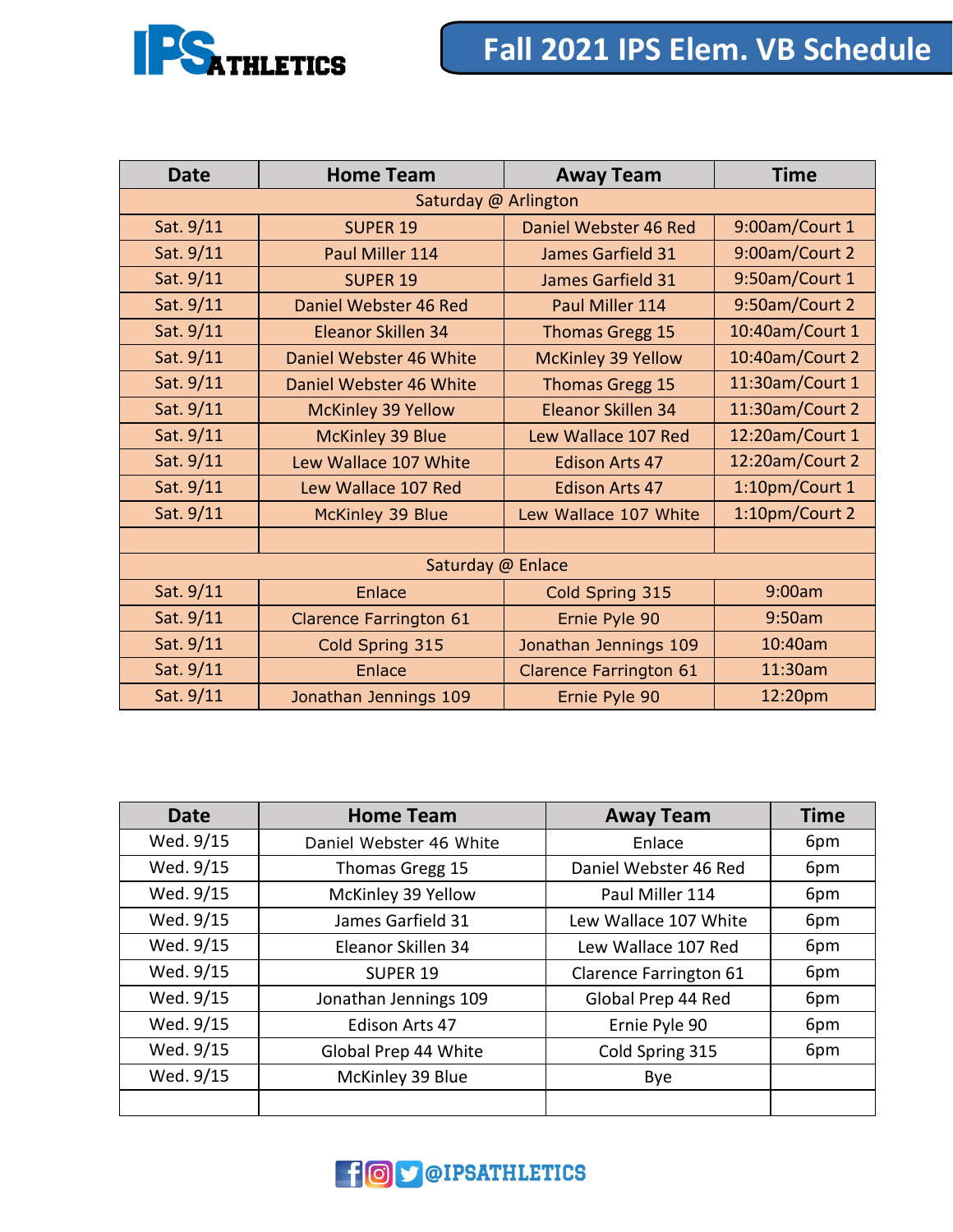



| <b>Date</b>          | <b>Home Team</b>              | <b>Away Team</b>              | <b>Time</b>     |
|----------------------|-------------------------------|-------------------------------|-----------------|
| Saturday @ Arlington |                               |                               |                 |
| Sat. 9/11            | <b>SUPER 19</b>               | Daniel Webster 46 Red         | 9:00am/Court 1  |
| Sat. 9/11            | Paul Miller 114               | James Garfield 31             | 9:00am/Court 2  |
| Sat. 9/11            | <b>SUPER 19</b>               | <b>James Garfield 31</b>      | 9:50am/Court 1  |
| Sat. 9/11            | Daniel Webster 46 Red         | Paul Miller 114               | 9:50am/Court 2  |
| Sat. 9/11            | Eleanor Skillen 34            | <b>Thomas Gregg 15</b>        | 10:40am/Court 1 |
| Sat. 9/11            | Daniel Webster 46 White       | <b>McKinley 39 Yellow</b>     | 10:40am/Court 2 |
| Sat. 9/11            | Daniel Webster 46 White       | <b>Thomas Gregg 15</b>        | 11:30am/Court 1 |
| Sat. 9/11            | <b>McKinley 39 Yellow</b>     | Eleanor Skillen 34            | 11:30am/Court 2 |
| Sat. 9/11            | <b>McKinley 39 Blue</b>       | Lew Wallace 107 Red           | 12:20am/Court 1 |
| Sat. 9/11            | Lew Wallace 107 White         | <b>Edison Arts 47</b>         | 12:20am/Court 2 |
| Sat. 9/11            | Lew Wallace 107 Red           | <b>Edison Arts 47</b>         | 1:10pm/Court 1  |
| Sat. 9/11            | McKinley 39 Blue              | Lew Wallace 107 White         | 1:10pm/Court 2  |
|                      |                               |                               |                 |
|                      | Saturday @ Enlace             |                               |                 |
| Sat. 9/11            | <b>Enlace</b>                 | Cold Spring 315               | 9:00am          |
| Sat. 9/11            | <b>Clarence Farrington 61</b> | Ernie Pyle 90                 | 9:50am          |
| Sat. 9/11            | Cold Spring 315               | Jonathan Jennings 109         | 10:40am         |
| Sat. 9/11            | <b>Enlace</b>                 | <b>Clarence Farrington 61</b> | 11:30am         |
| Sat. 9/11            | Jonathan Jennings 109         | Ernie Pyle 90                 | 12:20pm         |

| <b>Date</b> | <b>Home Team</b>        | <b>Away Team</b>       | <b>Time</b> |
|-------------|-------------------------|------------------------|-------------|
| Wed. 9/15   | Daniel Webster 46 White | Enlace                 | 6pm         |
| Wed. 9/15   | Thomas Gregg 15         | Daniel Webster 46 Red  | 6pm         |
| Wed. 9/15   | McKinley 39 Yellow      | Paul Miller 114        | 6pm         |
| Wed. 9/15   | James Garfield 31       | Lew Wallace 107 White  | 6pm         |
| Wed. 9/15   | Eleanor Skillen 34      | Lew Wallace 107 Red    | 6pm         |
| Wed. 9/15   | SUPER 19                | Clarence Farrington 61 | 6pm         |
| Wed. 9/15   | Jonathan Jennings 109   | Global Prep 44 Red     | 6pm         |
| Wed. 9/15   | Edison Arts 47          | Ernie Pyle 90          | 6pm         |
| Wed. 9/15   | Global Prep 44 White    | Cold Spring 315        | 6pm         |
| Wed. 9/15   | McKinley 39 Blue        | Bye                    |             |
|             |                         |                        |             |

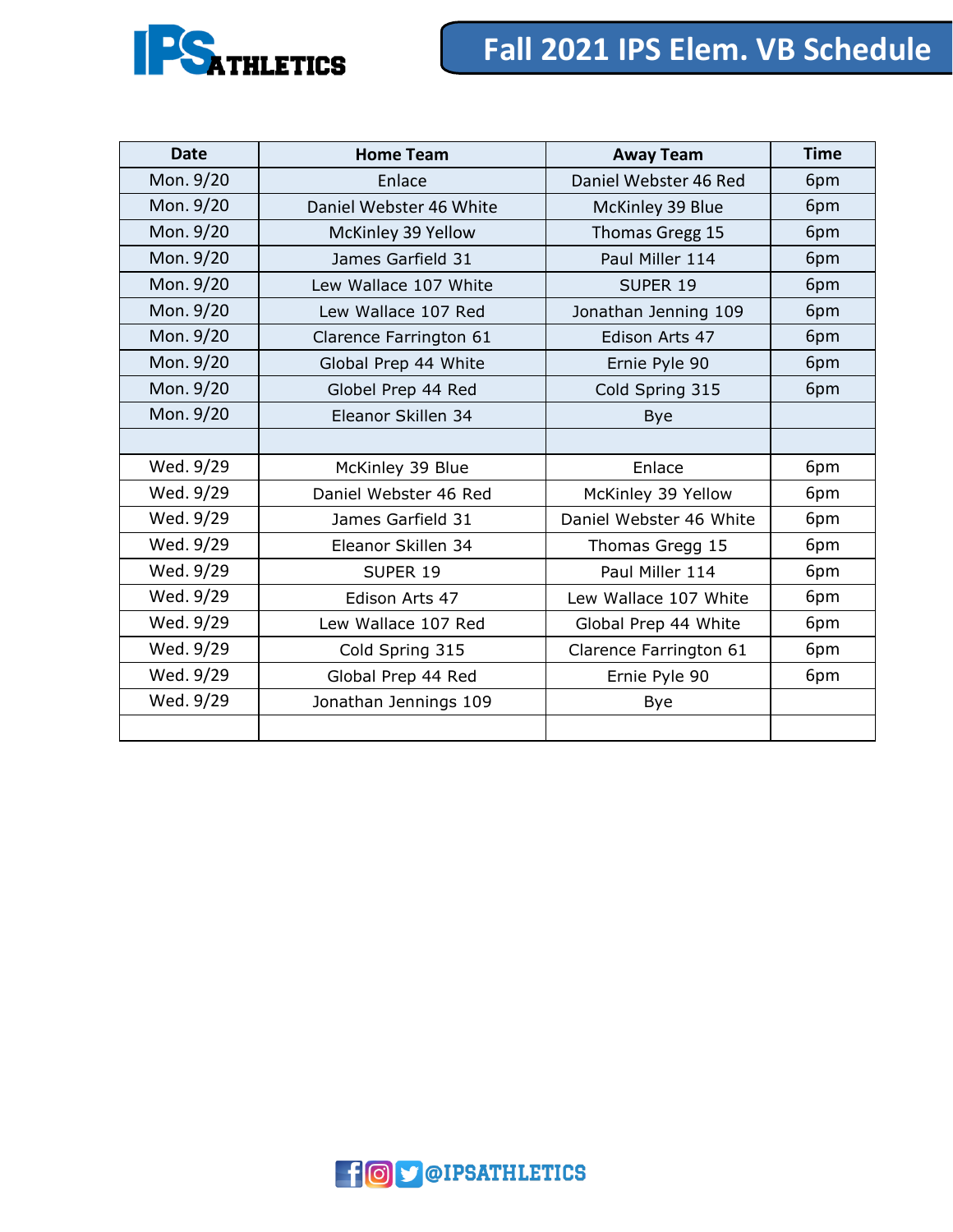

| <b>Date</b> | <b>Home Team</b>        | <b>Away Team</b>        | <b>Time</b> |
|-------------|-------------------------|-------------------------|-------------|
| Mon. 9/20   | Enlace                  | Daniel Webster 46 Red   | 6pm         |
| Mon. 9/20   | Daniel Webster 46 White | McKinley 39 Blue        | 6pm         |
| Mon. 9/20   | McKinley 39 Yellow      | Thomas Gregg 15         | 6pm         |
| Mon. 9/20   | James Garfield 31       | Paul Miller 114         | 6pm         |
| Mon. 9/20   | Lew Wallace 107 White   | SUPER 19                | 6pm         |
| Mon. 9/20   | Lew Wallace 107 Red     | Jonathan Jenning 109    | 6pm         |
| Mon. 9/20   | Clarence Farrington 61  | Edison Arts 47          | 6pm         |
| Mon. 9/20   | Global Prep 44 White    | Ernie Pyle 90           | 6pm         |
| Mon. 9/20   | Globel Prep 44 Red      | Cold Spring 315         | 6pm         |
| Mon. 9/20   | Eleanor Skillen 34      | Bye                     |             |
|             |                         |                         |             |
| Wed. 9/29   | McKinley 39 Blue        | Enlace                  | 6pm         |
| Wed. 9/29   | Daniel Webster 46 Red   | McKinley 39 Yellow      | 6pm         |
| Wed. 9/29   | James Garfield 31       | Daniel Webster 46 White | 6pm         |
| Wed. 9/29   | Eleanor Skillen 34      | Thomas Gregg 15         | 6pm         |
| Wed. 9/29   | SUPER 19                | Paul Miller 114         | 6pm         |
| Wed. 9/29   | Edison Arts 47          | Lew Wallace 107 White   | 6pm         |
| Wed. 9/29   | Lew Wallace 107 Red     | Global Prep 44 White    | 6pm         |
| Wed. 9/29   | Cold Spring 315         | Clarence Farrington 61  | 6pm         |
| Wed. 9/29   | Global Prep 44 Red      | Ernie Pyle 90           | 6pm         |
| Wed. 9/29   | Jonathan Jennings 109   | Bye                     |             |
|             |                         |                         |             |